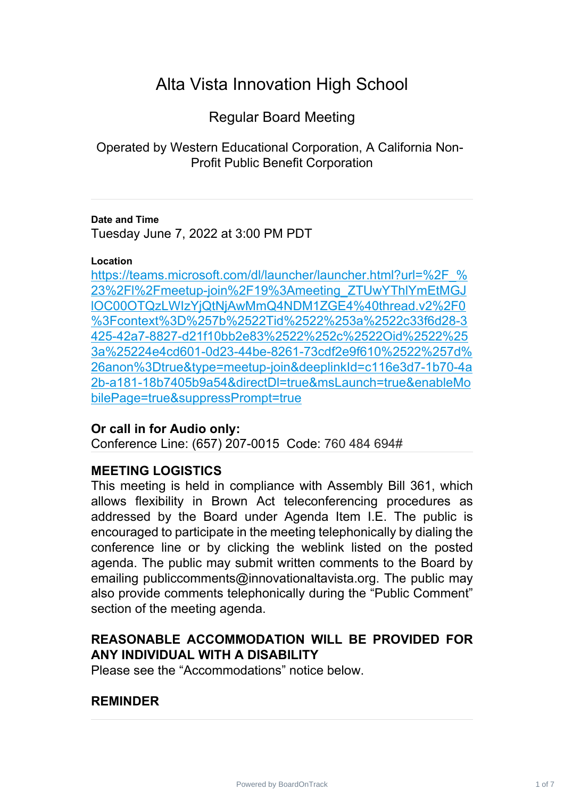# Alta Vista Innovation High School

Regular Board Meeting

Operated by Western Educational Corporation, A California Non-Profit Public Benefit Corporation

#### **Date and Time**

Tuesday June 7, 2022 at 3:00 PM PDT

#### **Location**

https://teams.microsoft.com/dl/launcher/launcher.html?url=%2F % 23%2Fl%2Fmeetup-join%2F19%3Ameeting\_ZTUwYThlYmEtMGJ [lOC00OTQzLWIzYjQtNjAwMmQ4NDM1ZGE4%40thread.v2%2F0](https://teams.microsoft.com/dl/launcher/launcher.html?url=%2F_%23%2Fl%2Fmeetup-join%2F19%3Ameeting_ZTUwYThlYmEtMGJlOC00OTQzLWIzYjQtNjAwMmQ4NDM1ZGE4%40thread.v2%2F0%3Fcontext%3D%257b%2522Tid%2522%253a%2522c33f6d28-3425-42a7-8827-d21f10bb2e83%2522%252c%2522Oid%2522%253a%25224e4cd601-0d23-44be-8261-73cdf2e9f610%2522%257d%26anon%3Dtrue&type=meetup-join&deeplinkId=c116e3d7-1b70-4a2b-a181-18b7405b9a54&directDl=true&msLaunch=true&enableMobilePage=true&suppressPrompt=true) %3Fcontext%3D%257b%2522Tid%2522%253a%2522c33f6d28-3 [425-42a7-8827-d21f10bb2e83%2522%252c%2522Oid%2522%25](https://teams.microsoft.com/dl/launcher/launcher.html?url=%2F_%23%2Fl%2Fmeetup-join%2F19%3Ameeting_ZTUwYThlYmEtMGJlOC00OTQzLWIzYjQtNjAwMmQ4NDM1ZGE4%40thread.v2%2F0%3Fcontext%3D%257b%2522Tid%2522%253a%2522c33f6d28-3425-42a7-8827-d21f10bb2e83%2522%252c%2522Oid%2522%253a%25224e4cd601-0d23-44be-8261-73cdf2e9f610%2522%257d%26anon%3Dtrue&type=meetup-join&deeplinkId=c116e3d7-1b70-4a2b-a181-18b7405b9a54&directDl=true&msLaunch=true&enableMobilePage=true&suppressPrompt=true) 3a%25224e4cd601-0d23-44be-8261-73cdf2e9f610%2522%257d% [26anon%3Dtrue&type=meetup-join&deeplinkId=c116e3d7-1b70-4a](https://teams.microsoft.com/dl/launcher/launcher.html?url=%2F_%23%2Fl%2Fmeetup-join%2F19%3Ameeting_ZTUwYThlYmEtMGJlOC00OTQzLWIzYjQtNjAwMmQ4NDM1ZGE4%40thread.v2%2F0%3Fcontext%3D%257b%2522Tid%2522%253a%2522c33f6d28-3425-42a7-8827-d21f10bb2e83%2522%252c%2522Oid%2522%253a%25224e4cd601-0d23-44be-8261-73cdf2e9f610%2522%257d%26anon%3Dtrue&type=meetup-join&deeplinkId=c116e3d7-1b70-4a2b-a181-18b7405b9a54&directDl=true&msLaunch=true&enableMobilePage=true&suppressPrompt=true) 2b-a181-18b7405b9a54&directDl=true&msLaunch=true&enableMo [bilePage=true&suppressPrompt=true](https://teams.microsoft.com/dl/launcher/launcher.html?url=%2F_%23%2Fl%2Fmeetup-join%2F19%3Ameeting_ZTUwYThlYmEtMGJlOC00OTQzLWIzYjQtNjAwMmQ4NDM1ZGE4%40thread.v2%2F0%3Fcontext%3D%257b%2522Tid%2522%253a%2522c33f6d28-3425-42a7-8827-d21f10bb2e83%2522%252c%2522Oid%2522%253a%25224e4cd601-0d23-44be-8261-73cdf2e9f610%2522%257d%26anon%3Dtrue&type=meetup-join&deeplinkId=c116e3d7-1b70-4a2b-a181-18b7405b9a54&directDl=true&msLaunch=true&enableMobilePage=true&suppressPrompt=true)

# **Or call in for Audio only:**

Conference Line: (657) 207-0015 Code: 760 484 694#

# **MEETING LOGISTICS**

This meeting is held in compliance with Assembly Bill 361, which allows flexibility in Brown Act teleconferencing procedures as addressed by the Board under Agenda Item I.E. The public is encouraged to participate in the meeting telephonically by dialing the conference line or by clicking the weblink listed on the posted agenda. The public may submit written comments to the Board by emailing publiccomments@innovationaltavista.org. The public may also provide comments telephonically during the "Public Comment" section of the meeting agenda.

# **REASONABLE ACCOMMODATION WILL BE PROVIDED FOR ANY INDIVIDUAL WITH A DISABILITY**

Please see the "Accommodations" notice below.

# **REMINDER**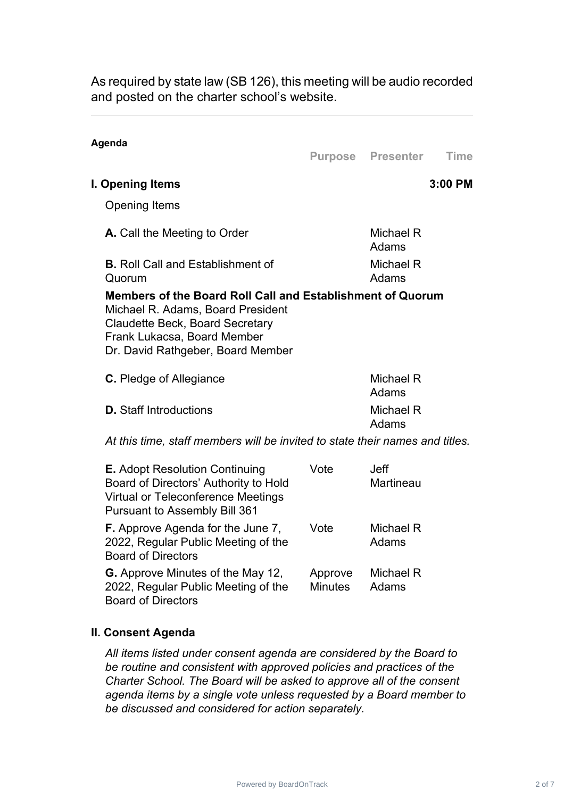As required by state law (SB 126), this meeting will be audio recorded and posted on the charter school's website.

#### **Agenda**

**Purpose Presenter Time**

#### **I. Opening Items 3:00 PM**

Opening Items

| Michael R<br>Adams |
|--------------------|
| Michael R<br>Adams |
|                    |

#### **Members of the Board Roll Call and Establishment of Quorum** Michael R. Adams, Board President Claudette Beck, Board Secretary Frank Lukacsa, Board Member Dr. David Rathgeber, Board Member

| <b>C.</b> Pledge of Allegiance | Michael R<br>Adams |
|--------------------------------|--------------------|
| <b>D.</b> Staff Introductions  | Michael R<br>Adams |

*At this time, staff members will be invited to state their names and titles.*

| <b>E.</b> Adopt Resolution Continuing<br>Board of Directors' Authority to Hold<br><b>Virtual or Teleconference Meetings</b><br><b>Pursuant to Assembly Bill 361</b> | Vote                      | Jeff<br>Martineau  |
|---------------------------------------------------------------------------------------------------------------------------------------------------------------------|---------------------------|--------------------|
| F. Approve Agenda for the June 7,<br>2022, Regular Public Meeting of the<br><b>Board of Directors</b>                                                               | Vote                      | Michael R<br>Adams |
| <b>G.</b> Approve Minutes of the May 12,<br>2022, Regular Public Meeting of the<br><b>Board of Directors</b>                                                        | Approve<br><b>Minutes</b> | Michael R<br>Adams |

#### **II. Consent Agenda**

*All items listed under consent agenda are considered by the Board to be routine and consistent with approved policies and practices of the Charter School. The Board will be asked to approve all of the consent agenda items by a single vote unless requested by a Board member to be discussed and considered for action separately.*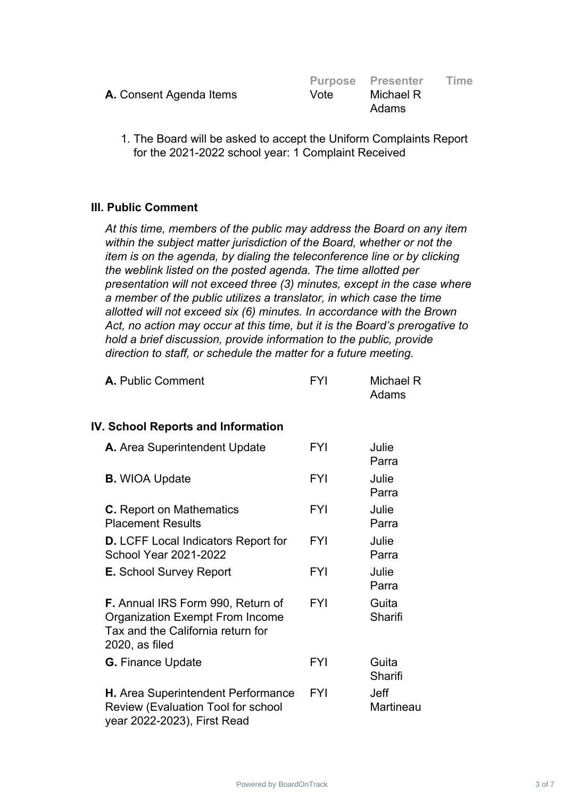|                                |      | <b>Purpose Presenter</b> | Time |
|--------------------------------|------|--------------------------|------|
| <b>A.</b> Consent Agenda Items | Vote | Michael R                |      |
|                                |      | Adams                    |      |

1. The Board will be asked to accept the Uniform Complaints Report for the 2021-2022 school year: 1 Complaint Received

## **III. Public Comment**

*At this time, members of the public may address the Board on any item within the subject matter jurisdiction of the Board, whether or not the item is on the agenda, by dialing the teleconference line or by clicking the weblink listed on the posted agenda. The time allotted per presentation will not exceed three (3) minutes, except in the case where a member of the public utilizes a translator, in which case the time allotted will not exceed six (6) minutes. In accordance with the Brown Act, no action may occur at this time, but it is the Board's prerogative to hold a brief discussion, provide information to the public, provide direction to staff, or schedule the matter for a future meeting.*

| A. Public Comment | FYI | Michael R |
|-------------------|-----|-----------|
|                   |     | Adams     |

#### **IV. School Reports and Information**

| A. Area Superintendent Update                                                                                                             | FYI        | Julie<br>Parra           |
|-------------------------------------------------------------------------------------------------------------------------------------------|------------|--------------------------|
| <b>B.</b> WIOA Update                                                                                                                     | <b>FYI</b> | Julie<br>Parra           |
| <b>C.</b> Report on Mathematics<br><b>Placement Results</b>                                                                               | <b>FYI</b> | Julie<br>Parra           |
| <b>D.</b> LCFF Local Indicators Report for<br><b>School Year 2021-2022</b>                                                                | <b>FYI</b> | Julie<br>Parra           |
| <b>E.</b> School Survey Report                                                                                                            | <b>FYI</b> | Julie<br>Parra           |
| <b>F.</b> Annual IRS Form 990, Return of<br><b>Organization Exempt From Income</b><br>Tax and the California return for<br>2020, as filed | <b>FYI</b> | Guita<br>Sharifi         |
| <b>G.</b> Finance Update                                                                                                                  | <b>FYI</b> | Guita<br>Sharifi         |
| H. Area Superintendent Performance<br><b>Review (Evaluation Tool for school</b><br>year 2022-2023), First Read                            | <b>FYI</b> | <b>Jeff</b><br>Martineau |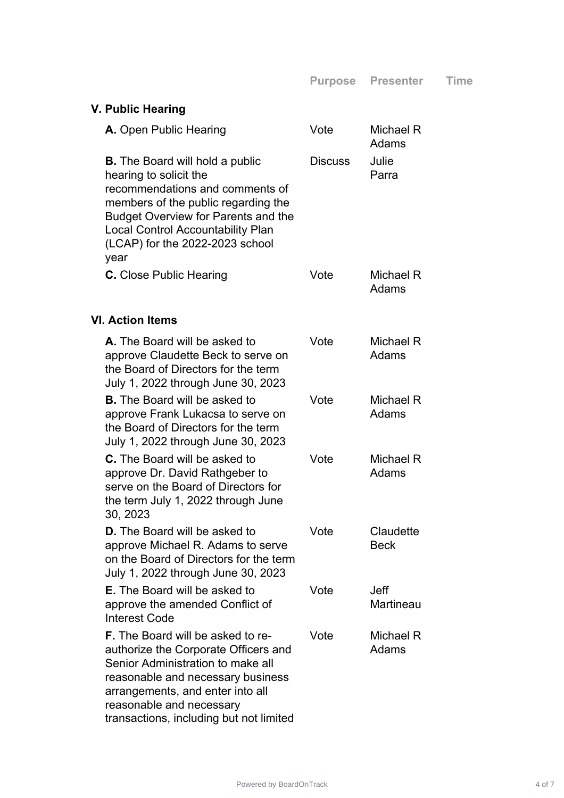| V. Public Hearing                                                                                                                                                                                                                                                        |                |                          |
|--------------------------------------------------------------------------------------------------------------------------------------------------------------------------------------------------------------------------------------------------------------------------|----------------|--------------------------|
| <b>A.</b> Open Public Hearing                                                                                                                                                                                                                                            | Vote           | Michael R<br>Adams       |
| <b>B.</b> The Board will hold a public<br>hearing to solicit the<br>recommendations and comments of<br>members of the public regarding the<br><b>Budget Overview for Parents and the</b><br>Local Control Accountability Plan<br>(LCAP) for the 2022-2023 school<br>year | <b>Discuss</b> | Julie<br>Parra           |
| <b>C.</b> Close Public Hearing                                                                                                                                                                                                                                           | Vote           | Michael R<br>Adams       |
| <b>VI. Action Items</b>                                                                                                                                                                                                                                                  |                |                          |
| <b>A.</b> The Board will be asked to<br>approve Claudette Beck to serve on<br>the Board of Directors for the term<br>July 1, 2022 through June 30, 2023                                                                                                                  | Vote           | Michael R<br>Adams       |
| <b>B.</b> The Board will be asked to<br>approve Frank Lukacsa to serve on<br>the Board of Directors for the term<br>July 1, 2022 through June 30, 2023                                                                                                                   | Vote           | Michael R<br>Adams       |
| <b>C.</b> The Board will be asked to<br>approve Dr. David Rathgeber to<br>serve on the Board of Directors for<br>the term July 1, 2022 through June<br>30, 2023                                                                                                          | Vote           | Michael R<br>Adams       |
| <b>D.</b> The Board will be asked to<br>approve Michael R. Adams to serve<br>on the Board of Directors for the term<br>July 1, 2022 through June 30, 2023                                                                                                                | Vote           | Claudette<br><b>Beck</b> |
| <b>E.</b> The Board will be asked to<br>approve the amended Conflict of<br><b>Interest Code</b>                                                                                                                                                                          | Vote           | <b>Jeff</b><br>Martineau |
| <b>F.</b> The Board will be asked to re-<br>authorize the Corporate Officers and<br>Senior Administration to make all<br>reasonable and necessary business<br>arrangements, and enter into all<br>reasonable and necessary<br>transactions, including but not limited    | Vote           | Michael R<br>Adams       |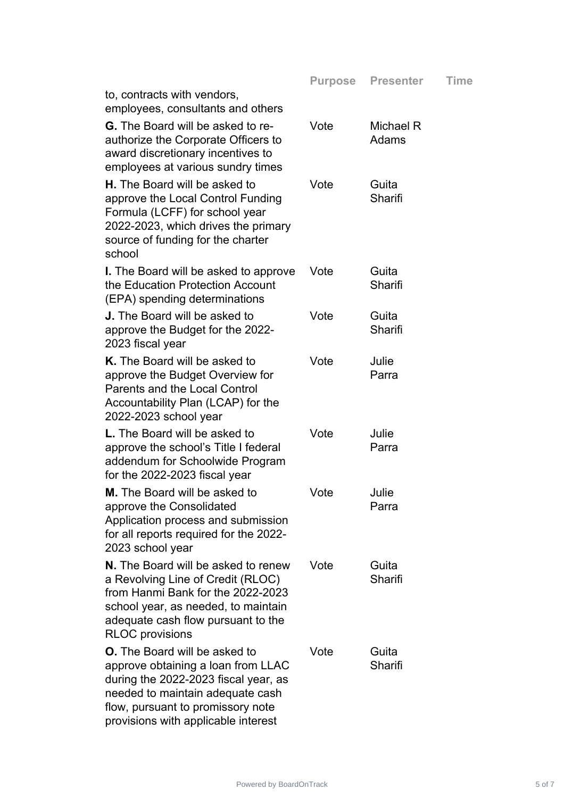| to, contracts with vendors,                                                                                                                                                                                                        | <b>Purpose</b> | <b>Presenter</b>   | <b>Time</b> |
|------------------------------------------------------------------------------------------------------------------------------------------------------------------------------------------------------------------------------------|----------------|--------------------|-------------|
| employees, consultants and others<br><b>G.</b> The Board will be asked to re-<br>authorize the Corporate Officers to<br>award discretionary incentives to<br>employees at various sundry times                                     | Vote           | Michael R<br>Adams |             |
| <b>H.</b> The Board will be asked to<br>approve the Local Control Funding<br>Formula (LCFF) for school year<br>2022-2023, which drives the primary<br>source of funding for the charter<br>school                                  | Vote           | Guita<br>Sharifi   |             |
| <b>I.</b> The Board will be asked to approve<br>the Education Protection Account<br>(EPA) spending determinations                                                                                                                  | Vote           | Guita<br>Sharifi   |             |
| <b>J.</b> The Board will be asked to<br>approve the Budget for the 2022-<br>2023 fiscal year                                                                                                                                       | Vote           | Guita<br>Sharifi   |             |
| K. The Board will be asked to<br>approve the Budget Overview for<br><b>Parents and the Local Control</b><br>Accountability Plan (LCAP) for the<br>2022-2023 school year                                                            | Vote           | Julie<br>Parra     |             |
| <b>L.</b> The Board will be asked to<br>approve the school's Title I federal<br>addendum for Schoolwide Program<br>for the 2022-2023 fiscal year                                                                                   | Vote           | Julie<br>Parra     |             |
| M. The Board will be asked to<br>approve the Consolidated<br>Application process and submission<br>for all reports required for the 2022-<br>2023 school year                                                                      | Vote           | Julie<br>Parra     |             |
| N. The Board will be asked to renew<br>a Revolving Line of Credit (RLOC)<br>from Hanmi Bank for the 2022-2023<br>school year, as needed, to maintain<br>adequate cash flow pursuant to the<br><b>RLOC</b> provisions               | Vote           | Guita<br>Sharifi   |             |
| <b>O.</b> The Board will be asked to<br>approve obtaining a loan from LLAC<br>during the 2022-2023 fiscal year, as<br>needed to maintain adequate cash<br>flow, pursuant to promissory note<br>provisions with applicable interest | Vote           | Guita<br>Sharifi   |             |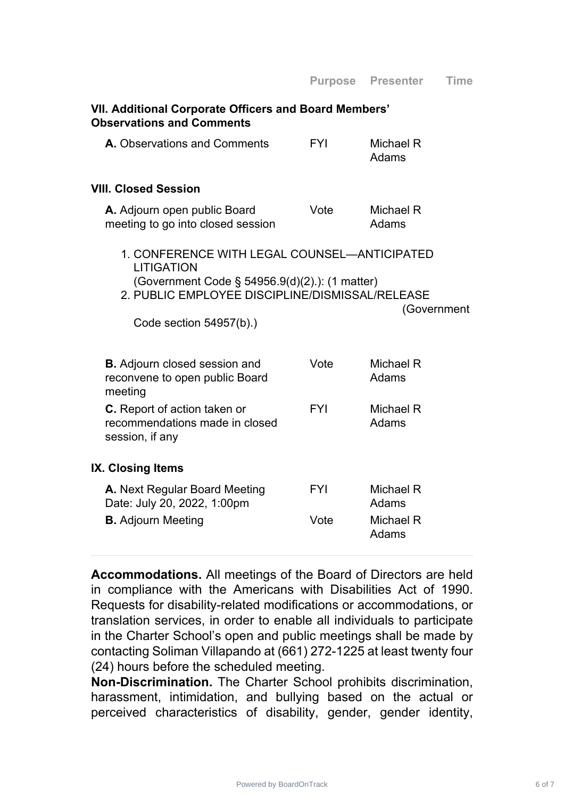## **VII. Additional Corporate Officers and Board Members' Observations and Comments**

| <b>A.</b> Observations and Comments | <b>FYI</b> | Michael R |
|-------------------------------------|------------|-----------|
|                                     |            | Adams     |

#### **VIII. Closed Session**

| A. Adjourn open public Board      | Vote | Michael R |
|-----------------------------------|------|-----------|
| meeting to go into closed session |      | Adams     |

- 1. CONFERENCE WITH LEGAL COUNSEL—ANTICIPATED **LITIGATION** (Government Code § 54956.9(d)(2).): (1 matter)
- 2. PUBLIC EMPLOYEE DISCIPLINE/DISMISSAL/RELEASE

(Government

Code section 54957(b).)

| <b>B.</b> Adjourn closed session and<br>reconvene to open public Board<br>meeting        | Vote       | Michael R<br>Adams |
|------------------------------------------------------------------------------------------|------------|--------------------|
| <b>C.</b> Report of action taken or<br>recommendations made in closed<br>session, if any | <b>FYI</b> | Michael R<br>Adams |
| IX. Closing Items                                                                        |            |                    |
| <b>A.</b> Next Regular Board Meeting<br>Date: July 20, 2022, 1:00pm                      | <b>FYI</b> | Michael R<br>Adams |
| <b>B.</b> Adjourn Meeting                                                                | Vote       | Michael R<br>Adams |

**Accommodations.** All meetings of the Board of Directors are held in compliance with the Americans with Disabilities Act of 1990. Requests for disability-related modifications or accommodations, or translation services, in order to enable all individuals to participate in the Charter School's open and public meetings shall be made by contacting Soliman Villapando at (661) 272-1225 at least twenty four (24) hours before the scheduled meeting.

**Non-Discrimination.** The Charter School prohibits discrimination, harassment, intimidation, and bullying based on the actual or perceived characteristics of disability, gender, gender identity,